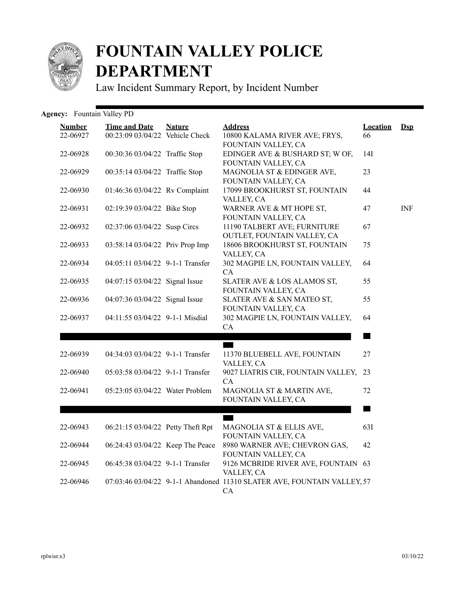

## **FOUNTAIN VALLEY POLICE DEPARTMENT**

Law Incident Summary Report, by Incident Number

## Agency: Fountain Valley PD

| <b>Number</b><br>22-06927 | <b>Time and Date</b><br>00:23:09 03/04/22 Vehicle Check | <b>Nature</b> | <b>Address</b><br>10800 KALAMA RIVER AVE; FRYS,                               | <b>Location</b><br>66 | $\mathbf{Dsp}$ |
|---------------------------|---------------------------------------------------------|---------------|-------------------------------------------------------------------------------|-----------------------|----------------|
| 22-06928                  | 00:30:36 03/04/22 Traffic Stop                          |               | FOUNTAIN VALLEY, CA<br>EDINGER AVE & BUSHARD ST; W OF,<br>FOUNTAIN VALLEY, CA | 14I                   |                |
| 22-06929                  | 00:35:14 03/04/22 Traffic Stop                          |               | MAGNOLIA ST & EDINGER AVE,<br>FOUNTAIN VALLEY, CA                             | 23                    |                |
| 22-06930                  | 01:46:36 03/04/22 Rv Complaint                          |               | 17099 BROOKHURST ST, FOUNTAIN<br>VALLEY, CA                                   | 44                    |                |
| 22-06931                  | 02:19:39 03/04/22 Bike Stop                             |               | WARNER AVE & MT HOPE ST,<br>FOUNTAIN VALLEY, CA                               | 47                    | <b>INF</b>     |
| 22-06932                  | 02:37:06 03/04/22 Susp Circs                            |               | 11190 TALBERT AVE; FURNITURE<br>OUTLET, FOUNTAIN VALLEY, CA                   | 67                    |                |
| 22-06933                  | 03:58:14 03/04/22 Priv Prop Imp                         |               | 18606 BROOKHURST ST, FOUNTAIN<br>VALLEY, CA                                   | 75                    |                |
| 22-06934                  | 04:05:11 03/04/22 9-1-1 Transfer                        |               | 302 MAGPIE LN, FOUNTAIN VALLEY,<br>CA                                         | 64                    |                |
| 22-06935                  | 04:07:15 03/04/22 Signal Issue                          |               | SLATER AVE & LOS ALAMOS ST,<br>FOUNTAIN VALLEY, CA                            | 55                    |                |
| 22-06936                  | 04:07:36 03/04/22 Signal Issue                          |               | SLATER AVE & SAN MATEO ST,<br>FOUNTAIN VALLEY, CA                             | 55                    |                |
| 22-06937                  | 04:11:55 03/04/22 9-1-1 Misdial                         |               | 302 MAGPIE LN, FOUNTAIN VALLEY,<br>CA                                         | 64                    |                |
|                           |                                                         |               |                                                                               |                       |                |
| 22-06939                  | 04:34:03 03/04/22 9-1-1 Transfer                        |               | <b>The Contract</b><br>11370 BLUEBELL AVE, FOUNTAIN<br>VALLEY, CA             | 27                    |                |
| 22-06940                  | 05:03:58 03/04/22 9-1-1 Transfer                        |               | 9027 LIATRIS CIR, FOUNTAIN VALLEY,<br>CA.                                     | 23                    |                |
| 22-06941                  | 05:23:05 03/04/22 Water Problem                         |               | MAGNOLIA ST & MARTIN AVE,<br>FOUNTAIN VALLEY, CA                              | 72                    |                |
|                           |                                                         |               |                                                                               | <b>Martin</b>         |                |
| 22-06943                  | 06:21:15 03/04/22 Petty Theft Rpt                       |               | MAGNOLIA ST & ELLIS AVE,<br>FOUNTAIN VALLEY, CA                               | 63I                   |                |
| 22-06944                  | 06:24:43 03/04/22 Keep The Peace                        |               | 8980 WARNER AVE; CHEVRON GAS,<br>FOUNTAIN VALLEY, CA                          | 42                    |                |
| 22-06945                  | 06:45:38 03/04/22 9-1-1 Transfer                        |               | 9126 MCBRIDE RIVER AVE, FOUNTAIN 63<br>VALLEY, CA                             |                       |                |
| 22-06946                  |                                                         |               | 07:03:46 03/04/22 9-1-1 Abandoned 11310 SLATER AVE, FOUNTAIN VALLEY, 57<br>CA |                       |                |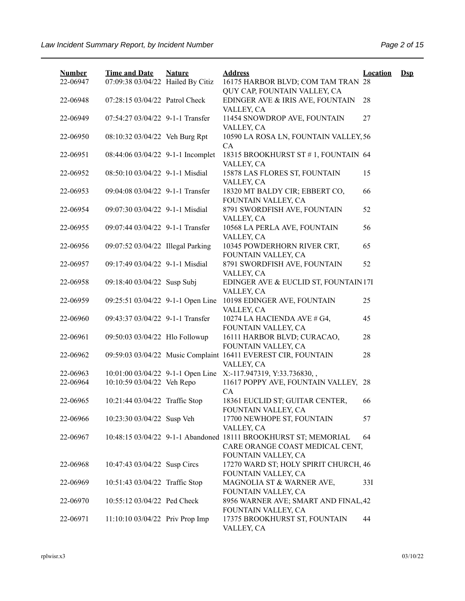| <b>Number</b><br>22-06947 | <b>Time and Date</b><br>07:09:38 03/04/22 Hailed By Citiz | <b>Nature</b> | <b>Address</b><br>16175 HARBOR BLVD; COM TAM TRAN 28                                                                      | <b>Location</b> | $\mathbf{Dsp}$ |
|---------------------------|-----------------------------------------------------------|---------------|---------------------------------------------------------------------------------------------------------------------------|-----------------|----------------|
| 22-06948                  | 07:28:15 03/04/22 Patrol Check                            |               | QUY CAP, FOUNTAIN VALLEY, CA<br>EDINGER AVE & IRIS AVE, FOUNTAIN                                                          | 28              |                |
| 22-06949                  | 07:54:27 03/04/22 9-1-1 Transfer                          |               | VALLEY, CA<br>11454 SNOWDROP AVE, FOUNTAIN                                                                                | 27              |                |
| 22-06950                  | 08:10:32 03/04/22 Veh Burg Rpt                            |               | VALLEY, CA<br>10590 LA ROSA LN, FOUNTAIN VALLEY, 56                                                                       |                 |                |
| 22-06951                  | 08:44:06 03/04/22 9-1-1 Incomplet                         |               | <b>CA</b><br>18315 BROOKHURST ST #1, FOUNTAIN 64                                                                          |                 |                |
| 22-06952                  | 08:50:10 03/04/22 9-1-1 Misdial                           |               | VALLEY, CA<br>15878 LAS FLORES ST, FOUNTAIN                                                                               | 15              |                |
| 22-06953                  | 09:04:08 03/04/22 9-1-1 Transfer                          |               | VALLEY, CA<br>18320 MT BALDY CIR; EBBERT CO,                                                                              | 66              |                |
| 22-06954                  | 09:07:30 03/04/22 9-1-1 Misdial                           |               | FOUNTAIN VALLEY, CA<br>8791 SWORDFISH AVE, FOUNTAIN                                                                       | 52              |                |
| 22-06955                  | 09:07:44 03/04/22 9-1-1 Transfer                          |               | VALLEY, CA<br>10568 LA PERLA AVE, FOUNTAIN                                                                                | 56              |                |
| 22-06956                  | 09:07:52 03/04/22 Illegal Parking                         |               | VALLEY, CA<br>10345 POWDERHORN RIVER CRT,                                                                                 | 65              |                |
| 22-06957                  | 09:17:49 03/04/22 9-1-1 Misdial                           |               | FOUNTAIN VALLEY, CA<br>8791 SWORDFISH AVE, FOUNTAIN                                                                       | 52              |                |
| 22-06958                  | 09:18:40 03/04/22 Susp Subj                               |               | VALLEY, CA<br>EDINGER AVE & EUCLID ST, FOUNTAIN 17I<br>VALLEY, CA                                                         |                 |                |
| 22-06959                  | 09:25:51 03/04/22 9-1-1 Open Line                         |               | 10198 EDINGER AVE, FOUNTAIN<br>VALLEY, CA                                                                                 | 25              |                |
| 22-06960                  | 09:43:37 03/04/22 9-1-1 Transfer                          |               | 10274 LA HACIENDA AVE # G4,<br>FOUNTAIN VALLEY, CA                                                                        | 45              |                |
| 22-06961                  | 09:50:03 03/04/22 Hlo Followup                            |               | 16111 HARBOR BLVD; CURACAO,<br>FOUNTAIN VALLEY, CA                                                                        | 28              |                |
| 22-06962                  |                                                           |               | 09:59:03 03/04/22 Music Complaint 16411 EVEREST CIR, FOUNTAIN<br>VALLEY, CA                                               | 28              |                |
| 22-06963                  |                                                           |               | 10:01:00 03/04/22 9-1-1 Open Line X:-117.947319, Y:33.736830,,                                                            |                 |                |
| 22-06964                  | 10:10:59 03/04/22 Veh Repo                                |               | 11617 POPPY AVE, FOUNTAIN VALLEY, 28<br><b>CA</b>                                                                         |                 |                |
| 22-06965                  | 10:21:44 03/04/22 Traffic Stop                            |               | 18361 EUCLID ST; GUITAR CENTER,<br>FOUNTAIN VALLEY, CA                                                                    | 66              |                |
| 22-06966                  | 10:23:30 03/04/22 Susp Veh                                |               | 17700 NEWHOPE ST, FOUNTAIN<br>VALLEY, CA                                                                                  | 57              |                |
| 22-06967                  |                                                           |               | 10:48:15 03/04/22 9-1-1 Abandoned 18111 BROOKHURST ST; MEMORIAL<br>CARE ORANGE COAST MEDICAL CENT,<br>FOUNTAIN VALLEY, CA | 64              |                |
| 22-06968                  | 10:47:43 03/04/22 Susp Circs                              |               | 17270 WARD ST; HOLY SPIRIT CHURCH, 46<br>FOUNTAIN VALLEY, CA                                                              |                 |                |
| 22-06969                  | 10:51:43 03/04/22 Traffic Stop                            |               | MAGNOLIA ST & WARNER AVE,<br>FOUNTAIN VALLEY, CA                                                                          | 33I             |                |
| 22-06970                  | 10:55:12 03/04/22 Ped Check                               |               | 8956 WARNER AVE; SMART AND FINAL, 42<br>FOUNTAIN VALLEY, CA                                                               |                 |                |
| 22-06971                  | 11:10:10 03/04/22 Priv Prop Imp                           |               | 17375 BROOKHURST ST, FOUNTAIN<br>VALLEY, CA                                                                               | 44              |                |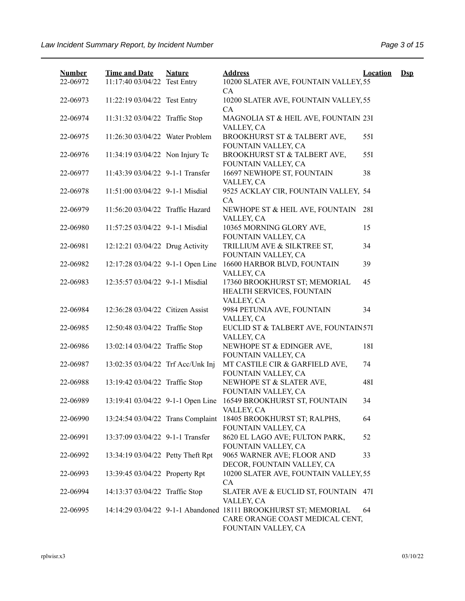| <b>Number</b><br>22-06972 | <b>Time and Date</b><br>11:17:40 03/04/22 Test Entry | <b>Nature</b> | <b>Address</b><br>10200 SLATER AVE, FOUNTAIN VALLEY, 55                                                                   | <b>Location</b> | $\mathbf{Dsp}$ |
|---------------------------|------------------------------------------------------|---------------|---------------------------------------------------------------------------------------------------------------------------|-----------------|----------------|
| 22-06973                  | 11:22:19 03/04/22 Test Entry                         |               | CA<br>10200 SLATER AVE, FOUNTAIN VALLEY, 55<br>CA                                                                         |                 |                |
| 22-06974                  | 11:31:32 03/04/22 Traffic Stop                       |               | MAGNOLIA ST & HEIL AVE, FOUNTAIN 23I<br>VALLEY, CA                                                                        |                 |                |
| 22-06975                  | 11:26:30 03/04/22 Water Problem                      |               | BROOKHURST ST & TALBERT AVE,<br>FOUNTAIN VALLEY, CA                                                                       | 55I             |                |
| 22-06976                  | 11:34:19 03/04/22 Non Injury Tc                      |               | BROOKHURST ST & TALBERT AVE,<br>FOUNTAIN VALLEY, CA                                                                       | 55I             |                |
| 22-06977                  | 11:43:39 03/04/22 9-1-1 Transfer                     |               | 16697 NEWHOPE ST, FOUNTAIN<br>VALLEY, CA                                                                                  | 38              |                |
| 22-06978                  | 11:51:00 03/04/22 9-1-1 Misdial                      |               | 9525 ACKLAY CIR, FOUNTAIN VALLEY, 54<br>CA                                                                                |                 |                |
| 22-06979                  | 11:56:20 03/04/22 Traffic Hazard                     |               | NEWHOPE ST & HEIL AVE, FOUNTAIN<br>VALLEY, CA                                                                             | 28I             |                |
| 22-06980                  | 11:57:25 03/04/22 9-1-1 Misdial                      |               | 10365 MORNING GLORY AVE,<br>FOUNTAIN VALLEY, CA                                                                           | 15              |                |
| 22-06981                  | 12:12:21 03/04/22 Drug Activity                      |               | TRILLIUM AVE & SILKTREE ST,<br>FOUNTAIN VALLEY, CA                                                                        | 34              |                |
| 22-06982                  | 12:17:28 03/04/22 9-1-1 Open Line                    |               | 16600 HARBOR BLVD, FOUNTAIN<br>VALLEY, CA                                                                                 | 39              |                |
| 22-06983                  | 12:35:57 03/04/22 9-1-1 Misdial                      |               | 17360 BROOKHURST ST; MEMORIAL<br>HEALTH SERVICES, FOUNTAIN<br>VALLEY, CA                                                  | 45              |                |
| 22-06984                  | 12:36:28 03/04/22 Citizen Assist                     |               | 9984 PETUNIA AVE, FOUNTAIN<br>VALLEY, CA                                                                                  | 34              |                |
| 22-06985                  | 12:50:48 03/04/22 Traffic Stop                       |               | EUCLID ST & TALBERT AVE, FOUNTAIN57I<br>VALLEY, CA                                                                        |                 |                |
| 22-06986                  | 13:02:14 03/04/22 Traffic Stop                       |               | NEWHOPE ST & EDINGER AVE,<br>FOUNTAIN VALLEY, CA                                                                          | <b>18I</b>      |                |
| 22-06987                  | 13:02:35 03/04/22 Trf Acc/Unk Inj                    |               | MT CASTILE CIR & GARFIELD AVE,<br>FOUNTAIN VALLEY, CA                                                                     | 74              |                |
| 22-06988                  | 13:19:42 03/04/22 Traffic Stop                       |               | NEWHOPE ST & SLATER AVE,<br>FOUNTAIN VALLEY, CA                                                                           | 48I             |                |
| 22-06989                  | 13:19:41 03/04/22 9-1-1 Open Line                    |               | 16549 BROOKHURST ST, FOUNTAIN<br>VALLEY, CA                                                                               | 34              |                |
| 22-06990                  | 13:24:54 03/04/22 Trans Complaint                    |               | 18405 BROOKHURST ST; RALPHS,<br>FOUNTAIN VALLEY, CA                                                                       | 64              |                |
| 22-06991                  | 13:37:09 03/04/22 9-1-1 Transfer                     |               | 8620 EL LAGO AVE; FULTON PARK,<br>FOUNTAIN VALLEY, CA                                                                     | 52              |                |
| 22-06992                  | 13:34:19 03/04/22 Petty Theft Rpt                    |               | 9065 WARNER AVE; FLOOR AND<br>DECOR, FOUNTAIN VALLEY, CA                                                                  | 33              |                |
| 22-06993                  | 13:39:45 03/04/22 Property Rpt                       |               | 10200 SLATER AVE, FOUNTAIN VALLEY, 55<br>CA.                                                                              |                 |                |
| 22-06994                  | 14:13:37 03/04/22 Traffic Stop                       |               | SLATER AVE & EUCLID ST, FOUNTAIN 47I<br>VALLEY, CA                                                                        |                 |                |
| 22-06995                  |                                                      |               | 14:14:29 03/04/22 9-1-1 Abandoned 18111 BROOKHURST ST; MEMORIAL<br>CARE ORANGE COAST MEDICAL CENT,<br>FOUNTAIN VALLEY, CA | 64              |                |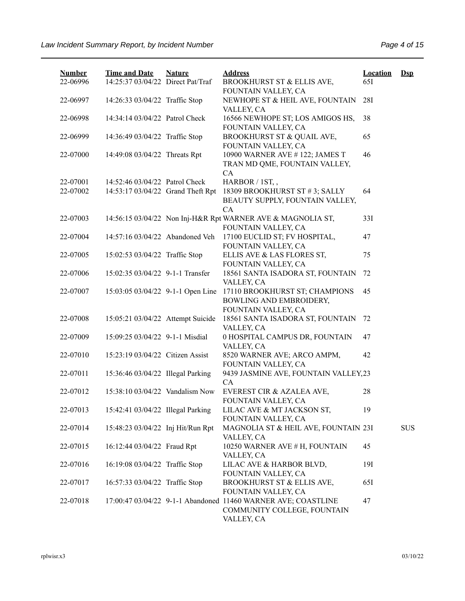| <b>Number</b><br>22-06996 | <b>Time and Date</b><br>14:25:37 03/04/22 Direct Pat/Traf | <b>Nature</b> | <b>Address</b><br>BROOKHURST ST & ELLIS AVE,                                                               | <b>Location</b><br>65I | $Dsp$      |
|---------------------------|-----------------------------------------------------------|---------------|------------------------------------------------------------------------------------------------------------|------------------------|------------|
| 22-06997                  | 14:26:33 03/04/22 Traffic Stop                            |               | FOUNTAIN VALLEY, CA<br>NEWHOPE ST & HEIL AVE, FOUNTAIN<br>VALLEY, CA                                       | 28I                    |            |
| 22-06998                  | 14:34:14 03/04/22 Patrol Check                            |               | 16566 NEWHOPE ST; LOS AMIGOS HS,<br>FOUNTAIN VALLEY, CA                                                    | 38                     |            |
| 22-06999                  | 14:36:49 03/04/22 Traffic Stop                            |               | BROOKHURST ST & QUAIL AVE,<br>FOUNTAIN VALLEY, CA                                                          | 65                     |            |
| 22-07000                  | 14:49:08 03/04/22 Threats Rpt                             |               | 10900 WARNER AVE #122; JAMES T<br>TRAN MD QME, FOUNTAIN VALLEY,<br>CA                                      | 46                     |            |
| 22-07001                  | 14:52:46 03/04/22 Patrol Check                            |               | HARBOR / 1ST,,                                                                                             |                        |            |
| 22-07002                  | 14:53:17 03/04/22 Grand Theft Rpt                         |               | 18309 BROOKHURST ST #3; SALLY<br>BEAUTY SUPPLY, FOUNTAIN VALLEY,                                           | 64                     |            |
| 22-07003                  |                                                           |               | CA<br>14:56:15 03/04/22 Non Inj-H&R Rpt WARNER AVE & MAGNOLIA ST,<br>FOUNTAIN VALLEY, CA                   | 33I                    |            |
| 22-07004                  | 14:57:16 03/04/22 Abandoned Veh                           |               | 17100 EUCLID ST; FV HOSPITAL,<br>FOUNTAIN VALLEY, CA                                                       | 47                     |            |
| 22-07005                  | 15:02:53 03/04/22 Traffic Stop                            |               | ELLIS AVE & LAS FLORES ST,<br>FOUNTAIN VALLEY, CA                                                          | 75                     |            |
| 22-07006                  | 15:02:35 03/04/22 9-1-1 Transfer                          |               | 18561 SANTA ISADORA ST, FOUNTAIN<br>VALLEY, CA                                                             | 72                     |            |
| 22-07007                  | 15:03:05 03/04/22 9-1-1 Open Line                         |               | 17110 BROOKHURST ST; CHAMPIONS<br>BOWLING AND EMBROIDERY,<br>FOUNTAIN VALLEY, CA                           | 45                     |            |
| 22-07008                  | 15:05:21 03/04/22 Attempt Suicide                         |               | 18561 SANTA ISADORA ST, FOUNTAIN<br>VALLEY, CA                                                             | 72                     |            |
| 22-07009                  | 15:09:25 03/04/22 9-1-1 Misdial                           |               | 0 HOSPITAL CAMPUS DR, FOUNTAIN<br>VALLEY, CA                                                               | 47                     |            |
| 22-07010                  | 15:23:19 03/04/22 Citizen Assist                          |               | 8520 WARNER AVE; ARCO AMPM,<br>FOUNTAIN VALLEY, CA                                                         | 42                     |            |
| 22-07011                  | 15:36:46 03/04/22 Illegal Parking                         |               | 9439 JASMINE AVE, FOUNTAIN VALLEY, 23<br>CA                                                                |                        |            |
| 22-07012                  | 15:38:10 03/04/22 Vandalism Now                           |               | EVEREST CIR & AZALEA AVE,<br>FOUNTAIN VALLEY, CA                                                           | 28                     |            |
| 22-07013                  | 15:42:41 03/04/22 Illegal Parking                         |               | LILAC AVE & MT JACKSON ST,<br>FOUNTAIN VALLEY, CA                                                          | 19                     |            |
| 22-07014                  | 15:48:23 03/04/22 Inj Hit/Run Rpt                         |               | MAGNOLIA ST & HEIL AVE, FOUNTAIN 23I<br>VALLEY, CA                                                         |                        | <b>SUS</b> |
| 22-07015                  | 16:12:44 03/04/22 Fraud Rpt                               |               | 10250 WARNER AVE # H, FOUNTAIN<br>VALLEY, CA                                                               | 45                     |            |
| 22-07016                  | 16:19:08 03/04/22 Traffic Stop                            |               | LILAC AVE & HARBOR BLVD,<br>FOUNTAIN VALLEY, CA                                                            | 191                    |            |
| 22-07017                  | 16:57:33 03/04/22 Traffic Stop                            |               | BROOKHURST ST & ELLIS AVE,<br>FOUNTAIN VALLEY, CA                                                          | 651                    |            |
| 22-07018                  |                                                           |               | 17:00:47 03/04/22 9-1-1 Abandoned 11460 WARNER AVE; COASTLINE<br>COMMUNITY COLLEGE, FOUNTAIN<br>VALLEY, CA | 47                     |            |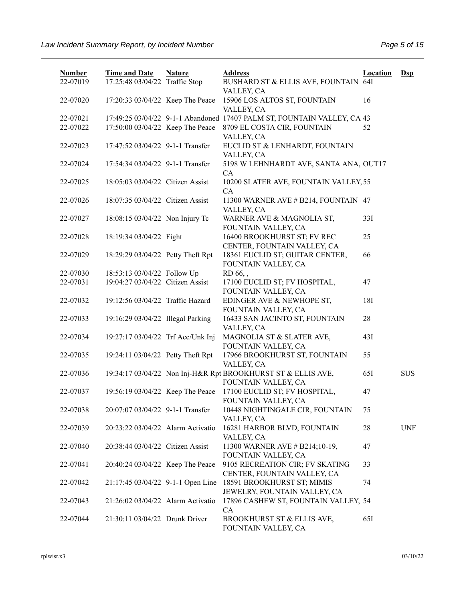| <b>Number</b> | <b>Time and Date</b>              | <b>Nature</b> | <b>Address</b>                                                                      | <b>Location</b> | $\mathbf{Dsp}$ |
|---------------|-----------------------------------|---------------|-------------------------------------------------------------------------------------|-----------------|----------------|
| 22-07019      | 17:25:48 03/04/22 Traffic Stop    |               | BUSHARD ST & ELLIS AVE, FOUNTAIN 64I<br>VALLEY, CA                                  |                 |                |
| 22-07020      | 17:20:33 03/04/22 Keep The Peace  |               | 15906 LOS ALTOS ST, FOUNTAIN<br>VALLEY, CA                                          | 16              |                |
| 22-07021      |                                   |               | 17:49:25 03/04/22 9-1-1 Abandoned 17407 PALM ST, FOUNTAIN VALLEY, CA 43             |                 |                |
| 22-07022      | 17:50:00 03/04/22 Keep The Peace  |               | 8709 EL COSTA CIR, FOUNTAIN<br>VALLEY, CA                                           | 52              |                |
| 22-07023      | 17:47:52 03/04/22 9-1-1 Transfer  |               | EUCLID ST & LENHARDT, FOUNTAIN<br>VALLEY, CA                                        |                 |                |
| 22-07024      | 17:54:34 03/04/22 9-1-1 Transfer  |               | 5198 W LEHNHARDT AVE, SANTA ANA, OUT17<br>CA                                        |                 |                |
| 22-07025      | 18:05:03 03/04/22 Citizen Assist  |               | 10200 SLATER AVE, FOUNTAIN VALLEY, 55<br>CA                                         |                 |                |
| 22-07026      | 18:07:35 03/04/22 Citizen Assist  |               | 11300 WARNER AVE # B214, FOUNTAIN 47<br>VALLEY, CA                                  |                 |                |
| 22-07027      | 18:08:15 03/04/22 Non Injury Tc   |               | WARNER AVE & MAGNOLIA ST,<br>FOUNTAIN VALLEY, CA                                    | 33I             |                |
| 22-07028      | 18:19:34 03/04/22 Fight           |               | 16400 BROOKHURST ST; FV REC<br>CENTER, FOUNTAIN VALLEY, CA                          | 25              |                |
| 22-07029      | 18:29:29 03/04/22 Petty Theft Rpt |               | 18361 EUCLID ST; GUITAR CENTER,<br>FOUNTAIN VALLEY, CA                              | 66              |                |
| 22-07030      | 18:53:13 03/04/22 Follow Up       |               | RD 66,,                                                                             |                 |                |
| 22-07031      | 19:04:27 03/04/22 Citizen Assist  |               | 17100 EUCLID ST; FV HOSPITAL,<br>FOUNTAIN VALLEY, CA                                | 47              |                |
| 22-07032      | 19:12:56 03/04/22 Traffic Hazard  |               | EDINGER AVE & NEWHOPE ST,<br>FOUNTAIN VALLEY, CA                                    | 18I             |                |
| 22-07033      | 19:16:29 03/04/22 Illegal Parking |               | 16433 SAN JACINTO ST, FOUNTAIN<br>VALLEY, CA                                        | 28              |                |
| 22-07034      | 19:27:17 03/04/22 Trf Acc/Unk Inj |               | MAGNOLIA ST & SLATER AVE,<br>FOUNTAIN VALLEY, CA                                    | 43I             |                |
| 22-07035      | 19:24:11 03/04/22 Petty Theft Rpt |               | 17966 BROOKHURST ST, FOUNTAIN<br>VALLEY, CA                                         | 55              |                |
| 22-07036      |                                   |               | 19:34:17 03/04/22 Non Inj-H&R Rpt BROOKHURST ST & ELLIS AVE,<br>FOUNTAIN VALLEY, CA | 65I             | <b>SUS</b>     |
| 22-07037      | 19:56:19 03/04/22 Keep The Peace  |               | 17100 EUCLID ST; FV HOSPITAL,<br>FOUNTAIN VALLEY, CA                                | 47              |                |
| 22-07038      | 20:07:07 03/04/22 9-1-1 Transfer  |               | 10448 NIGHTINGALE CIR, FOUNTAIN<br>VALLEY, CA                                       | 75              |                |
| 22-07039      | 20:23:22 03/04/22 Alarm Activatio |               | 16281 HARBOR BLVD, FOUNTAIN<br>VALLEY, CA                                           | 28              | <b>UNF</b>     |
| 22-07040      | 20:38:44 03/04/22 Citizen Assist  |               | 11300 WARNER AVE # B214;10-19,<br>FOUNTAIN VALLEY, CA                               | 47              |                |
| 22-07041      | 20:40:24 03/04/22 Keep The Peace  |               | 9105 RECREATION CIR; FV SKATING<br>CENTER, FOUNTAIN VALLEY, CA                      | 33              |                |
| 22-07042      | 21:17:45 03/04/22 9-1-1 Open Line |               | 18591 BROOKHURST ST; MIMIS<br>JEWELRY, FOUNTAIN VALLEY, CA                          | 74              |                |
| 22-07043      | 21:26:02 03/04/22 Alarm Activatio |               | 17896 CASHEW ST, FOUNTAIN VALLEY, 54<br>CA                                          |                 |                |
| 22-07044      | 21:30:11 03/04/22 Drunk Driver    |               | BROOKHURST ST & ELLIS AVE,<br>FOUNTAIN VALLEY, CA                                   | 65I             |                |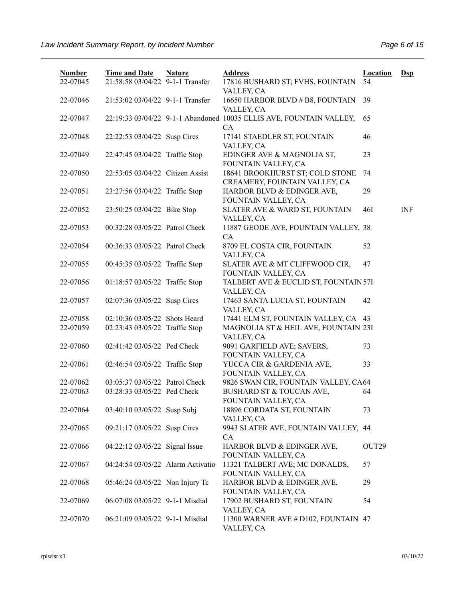| <b>Number</b><br>22-07045 | <b>Time and Date</b><br>21:58:58 03/04/22 9-1-1 Transfer | <b>Nature</b> | <b>Address</b><br>17816 BUSHARD ST; FVHS, FOUNTAIN                        | <b>Location</b><br>54 | $\mathbf{Dsp}$ |
|---------------------------|----------------------------------------------------------|---------------|---------------------------------------------------------------------------|-----------------------|----------------|
| 22-07046                  | 21:53:02 03/04/22 9-1-1 Transfer                         |               | VALLEY, CA<br>16650 HARBOR BLVD # B8, FOUNTAIN<br>VALLEY, CA              | 39                    |                |
| 22-07047                  |                                                          |               | 22:19:33 03/04/22 9-1-1 Abandoned 10035 ELLIS AVE, FOUNTAIN VALLEY,<br>CA | 65                    |                |
| 22-07048                  | 22:22:53 03/04/22 Susp Circs                             |               | 17141 STAEDLER ST, FOUNTAIN<br>VALLEY, CA                                 | 46                    |                |
| 22-07049                  | 22:47:45 03/04/22 Traffic Stop                           |               | EDINGER AVE & MAGNOLIA ST,<br>FOUNTAIN VALLEY, CA                         | 23                    |                |
| 22-07050                  | 22:53:05 03/04/22 Citizen Assist                         |               | 18641 BROOKHURST ST; COLD STONE<br>CREAMERY, FOUNTAIN VALLEY, CA          | 74                    |                |
| 22-07051                  | 23:27:56 03/04/22 Traffic Stop                           |               | HARBOR BLVD & EDINGER AVE,<br>FOUNTAIN VALLEY, CA                         | 29                    |                |
| 22-07052                  | 23:50:25 03/04/22 Bike Stop                              |               | SLATER AVE & WARD ST, FOUNTAIN<br>VALLEY, CA                              | 46I                   | <b>INF</b>     |
| 22-07053                  | 00:32:28 03/05/22 Patrol Check                           |               | 11887 GEODE AVE, FOUNTAIN VALLEY, 38<br>CA                                |                       |                |
| 22-07054                  | 00:36:33 03/05/22 Patrol Check                           |               | 8709 EL COSTA CIR, FOUNTAIN<br>VALLEY, CA                                 | 52                    |                |
| 22-07055                  | 00:45:35 03/05/22 Traffic Stop                           |               | SLATER AVE & MT CLIFFWOOD CIR,<br>FOUNTAIN VALLEY, CA                     | 47                    |                |
| 22-07056                  | 01:18:57 03/05/22 Traffic Stop                           |               | TALBERT AVE & EUCLID ST, FOUNTAIN 57I<br>VALLEY, CA                       |                       |                |
| 22-07057                  | 02:07:36 03/05/22 Susp Circs                             |               | 17463 SANTA LUCIA ST, FOUNTAIN<br>VALLEY, CA                              | 42                    |                |
| 22-07058                  | 02:10:36 03/05/22 Shots Heard                            |               | 17441 ELM ST, FOUNTAIN VALLEY, CA 43                                      |                       |                |
| 22-07059                  | 02:23:43 03/05/22 Traffic Stop                           |               | MAGNOLIA ST & HEIL AVE, FOUNTAIN 23I<br>VALLEY, CA                        |                       |                |
| 22-07060                  | 02:41:42 03/05/22 Ped Check                              |               | 9091 GARFIELD AVE; SAVERS,<br>FOUNTAIN VALLEY, CA                         | 73                    |                |
| 22-07061                  | 02:46:54 03/05/22 Traffic Stop                           |               | YUCCA CIR & GARDENIA AVE,<br>FOUNTAIN VALLEY, CA                          | 33                    |                |
| 22-07062                  | 03:05:37 03/05/22 Patrol Check                           |               | 9826 SWAN CIR, FOUNTAIN VALLEY, CA64                                      |                       |                |
| 22-07063                  | 03:28:33 03/05/22 Ped Check                              |               | BUSHARD ST & TOUCAN AVE,<br>FOUNTAIN VALLEY, CA                           | 64                    |                |
| 22-07064                  | 03:40:10 03/05/22 Susp Subj                              |               | 18896 CORDATA ST, FOUNTAIN<br>VALLEY, CA                                  | 73                    |                |
| 22-07065                  | 09:21:17 03/05/22 Susp Circs                             |               | 9943 SLATER AVE, FOUNTAIN VALLEY, 44<br>CA                                |                       |                |
| 22-07066                  | 04:22:12 03/05/22 Signal Issue                           |               | HARBOR BLVD & EDINGER AVE,<br>FOUNTAIN VALLEY, CA                         | OUT <sub>29</sub>     |                |
| 22-07067                  | 04:24:54 03/05/22 Alarm Activatio                        |               | 11321 TALBERT AVE; MC DONALDS,<br>FOUNTAIN VALLEY, CA                     | 57                    |                |
| 22-07068                  | 05:46:24 03/05/22 Non Injury Tc                          |               | HARBOR BLVD & EDINGER AVE,<br>FOUNTAIN VALLEY, CA                         | 29                    |                |
| 22-07069                  | 06:07:08 03/05/22 9-1-1 Misdial                          |               | 17902 BUSHARD ST, FOUNTAIN<br>VALLEY, CA                                  | 54                    |                |
| 22-07070                  | 06:21:09 03/05/22 9-1-1 Misdial                          |               | 11300 WARNER AVE # D102, FOUNTAIN 47<br>VALLEY, CA                        |                       |                |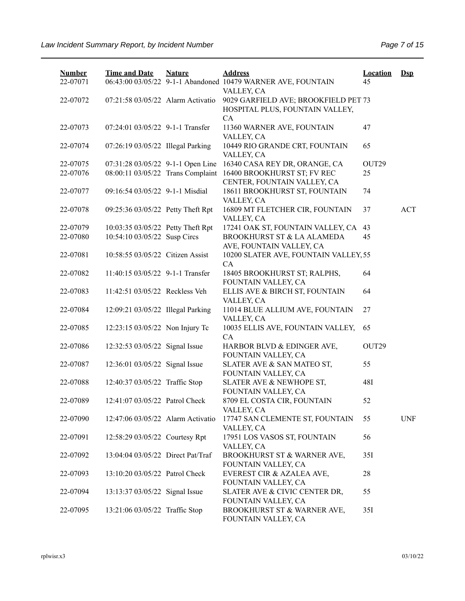| <b>Number</b><br>22-07071 | <b>Time and Date</b>              | <b>Nature</b> | <b>Address</b><br>06:43:00 03/05/22 9-1-1 Abandoned 10479 WARNER AVE, FOUNTAIN | <b>Location</b><br>45 | $Dep$      |
|---------------------------|-----------------------------------|---------------|--------------------------------------------------------------------------------|-----------------------|------------|
|                           |                                   |               | VALLEY, CA                                                                     |                       |            |
| 22-07072                  | 07:21:58 03/05/22 Alarm Activatio |               | 9029 GARFIELD AVE; BROOKFIELD PET 73                                           |                       |            |
|                           |                                   |               | HOSPITAL PLUS, FOUNTAIN VALLEY,                                                |                       |            |
|                           |                                   |               | CA                                                                             |                       |            |
| 22-07073                  | 07:24:01 03/05/22 9-1-1 Transfer  |               | 11360 WARNER AVE, FOUNTAIN                                                     | 47                    |            |
|                           |                                   |               | VALLEY, CA                                                                     |                       |            |
| 22-07074                  | 07:26:19 03/05/22 Illegal Parking |               | 10449 RIO GRANDE CRT, FOUNTAIN                                                 | 65                    |            |
|                           |                                   |               | VALLEY, CA                                                                     |                       |            |
| 22-07075                  | 07:31:28 03/05/22 9-1-1 Open Line |               | 16340 CASA REY DR, ORANGE, CA                                                  | OUT <sub>29</sub>     |            |
| 22-07076                  | 08:00:11 03/05/22 Trans Complaint |               | 16400 BROOKHURST ST; FV REC                                                    | 25                    |            |
|                           |                                   |               | CENTER, FOUNTAIN VALLEY, CA                                                    |                       |            |
| 22-07077                  | 09:16:54 03/05/22 9-1-1 Misdial   |               | 18611 BROOKHURST ST, FOUNTAIN                                                  | 74                    |            |
|                           |                                   |               | VALLEY, CA                                                                     |                       |            |
| 22-07078                  | 09:25:36 03/05/22 Petty Theft Rpt |               | 16809 MT FLETCHER CIR, FOUNTAIN                                                | 37                    | <b>ACT</b> |
|                           |                                   |               | VALLEY, CA                                                                     |                       |            |
| 22-07079                  | 10:03:35 03/05/22 Petty Theft Rpt |               | 17241 OAK ST, FOUNTAIN VALLEY, CA                                              | 43                    |            |
| 22-07080                  | 10:54:10 03/05/22 Susp Circs      |               | BROOKHURST ST & LA ALAMEDA                                                     | 45                    |            |
| 22-07081                  | 10:58:55 03/05/22 Citizen Assist  |               | AVE, FOUNTAIN VALLEY, CA<br>10200 SLATER AVE, FOUNTAIN VALLEY, 55              |                       |            |
|                           |                                   |               | CA                                                                             |                       |            |
| 22-07082                  | 11:40:15 03/05/22 9-1-1 Transfer  |               | 18405 BROOKHURST ST; RALPHS,                                                   | 64                    |            |
|                           |                                   |               | FOUNTAIN VALLEY, CA                                                            |                       |            |
| 22-07083                  | 11:42:51 03/05/22 Reckless Veh    |               | ELLIS AVE & BIRCH ST, FOUNTAIN                                                 | 64                    |            |
|                           |                                   |               | VALLEY, CA                                                                     |                       |            |
| 22-07084                  | 12:09:21 03/05/22 Illegal Parking |               | 11014 BLUE ALLIUM AVE, FOUNTAIN                                                | 27                    |            |
|                           |                                   |               | VALLEY, CA                                                                     |                       |            |
| 22-07085                  | 12:23:15 03/05/22 Non Injury Tc   |               | 10035 ELLIS AVE, FOUNTAIN VALLEY,                                              | 65                    |            |
|                           |                                   |               | CA                                                                             |                       |            |
| 22-07086                  | 12:32:53 03/05/22 Signal Issue    |               | HARBOR BLVD & EDINGER AVE,                                                     | OUT29                 |            |
|                           |                                   |               | FOUNTAIN VALLEY, CA                                                            |                       |            |
| 22-07087                  | 12:36:01 03/05/22 Signal Issue    |               | SLATER AVE & SAN MATEO ST,                                                     | 55                    |            |
|                           |                                   |               | FOUNTAIN VALLEY, CA                                                            |                       |            |
| 22-07088                  | 12:40:37 03/05/22 Traffic Stop    |               | SLATER AVE & NEWHOPE ST,                                                       | 48I                   |            |
|                           |                                   |               | FOUNTAIN VALLEY, CA                                                            |                       |            |
| 22-07089                  | 12:41:07 03/05/22 Patrol Check    |               | 8709 EL COSTA CIR, FOUNTAIN                                                    | 52                    |            |
|                           |                                   |               | VALLEY, CA                                                                     |                       |            |
| 22-07090                  | 12:47:06 03/05/22 Alarm Activatio |               | 17747 SAN CLEMENTE ST, FOUNTAIN                                                | 55                    | <b>UNF</b> |
| 22-07091                  |                                   |               | VALLEY, CA<br>17951 LOS VASOS ST, FOUNTAIN                                     | 56                    |            |
|                           | 12:58:29 03/05/22 Courtesy Rpt    |               | VALLEY, CA                                                                     |                       |            |
| 22-07092                  | 13:04:04 03/05/22 Direct Pat/Traf |               | BROOKHURST ST & WARNER AVE,                                                    | 35I                   |            |
|                           |                                   |               | FOUNTAIN VALLEY, CA                                                            |                       |            |
| 22-07093                  | 13:10:20 03/05/22 Patrol Check    |               | EVEREST CIR & AZALEA AVE,                                                      | 28                    |            |
|                           |                                   |               | FOUNTAIN VALLEY, CA                                                            |                       |            |
| 22-07094                  | 13:13:37 03/05/22 Signal Issue    |               | SLATER AVE & CIVIC CENTER DR,                                                  | 55                    |            |
|                           |                                   |               | FOUNTAIN VALLEY, CA                                                            |                       |            |
| 22-07095                  | 13:21:06 03/05/22 Traffic Stop    |               | BROOKHURST ST & WARNER AVE,                                                    | 35I                   |            |
|                           |                                   |               | FOUNTAIN VALLEY, CA                                                            |                       |            |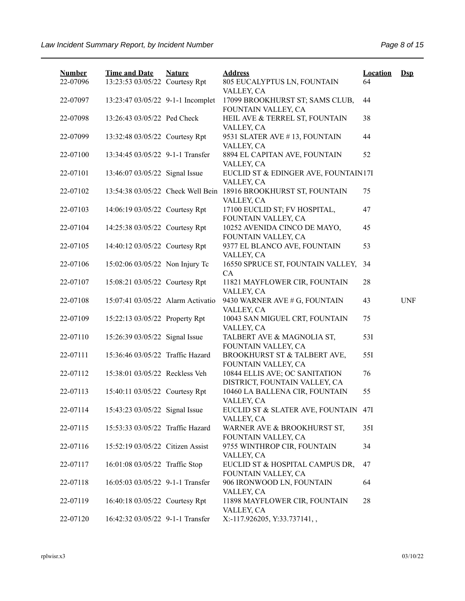| <b>Number</b><br>22-07096 | <b>Time and Date</b><br>13:23:53 03/05/22 Courtesy Rpt | <b>Nature</b> | <b>Address</b><br>805 EUCALYPTUS LN, FOUNTAIN                                 | <b>Location</b><br>64 | $\mathbf{Dsp}$ |
|---------------------------|--------------------------------------------------------|---------------|-------------------------------------------------------------------------------|-----------------------|----------------|
| 22-07097                  | 13:23:47 03/05/22 9-1-1 Incomplet                      |               | VALLEY, CA<br>17099 BROOKHURST ST; SAMS CLUB,                                 | 44                    |                |
| 22-07098                  | 13:26:43 03/05/22 Ped Check                            |               | FOUNTAIN VALLEY, CA<br>HEIL AVE & TERREL ST, FOUNTAIN<br>VALLEY, CA           | 38                    |                |
| 22-07099                  | 13:32:48 03/05/22 Courtesy Rpt                         |               | 9531 SLATER AVE #13, FOUNTAIN<br>VALLEY, CA                                   | 44                    |                |
| 22-07100                  | 13:34:45 03/05/22 9-1-1 Transfer                       |               | 8894 EL CAPITAN AVE, FOUNTAIN<br>VALLEY, CA                                   | 52                    |                |
| 22-07101                  | 13:46:07 03/05/22 Signal Issue                         |               | EUCLID ST & EDINGER AVE, FOUNTAIN17I<br>VALLEY, CA                            |                       |                |
| 22-07102                  |                                                        |               | 13:54:38 03/05/22 Check Well Bein 18916 BROOKHURST ST, FOUNTAIN<br>VALLEY, CA | 75                    |                |
| 22-07103                  | 14:06:19 03/05/22 Courtesy Rpt                         |               | 17100 EUCLID ST; FV HOSPITAL,<br>FOUNTAIN VALLEY, CA                          | 47                    |                |
| 22-07104                  | 14:25:38 03/05/22 Courtesy Rpt                         |               | 10252 AVENIDA CINCO DE MAYO,<br>FOUNTAIN VALLEY, CA                           | 45                    |                |
| 22-07105                  | 14:40:12 03/05/22 Courtesy Rpt                         |               | 9377 EL BLANCO AVE, FOUNTAIN<br>VALLEY, CA                                    | 53                    |                |
| 22-07106                  | 15:02:06 03/05/22 Non Injury Tc                        |               | 16550 SPRUCE ST, FOUNTAIN VALLEY, 34<br>CA                                    |                       |                |
| 22-07107                  | 15:08:21 03/05/22 Courtesy Rpt                         |               | 11821 MAYFLOWER CIR, FOUNTAIN<br>VALLEY, CA                                   | 28                    |                |
| 22-07108                  | 15:07:41 03/05/22 Alarm Activatio                      |               | 9430 WARNER AVE # G, FOUNTAIN<br>VALLEY, CA                                   | 43                    | <b>UNF</b>     |
| 22-07109                  | 15:22:13 03/05/22 Property Rpt                         |               | 10043 SAN MIGUEL CRT, FOUNTAIN<br>VALLEY, CA                                  | 75                    |                |
| 22-07110                  | 15:26:39 03/05/22 Signal Issue                         |               | TALBERT AVE & MAGNOLIA ST,<br>FOUNTAIN VALLEY, CA                             | 53I                   |                |
| 22-07111                  | 15:36:46 03/05/22 Traffic Hazard                       |               | BROOKHURST ST & TALBERT AVE,<br>FOUNTAIN VALLEY, CA                           | 55I                   |                |
| 22-07112                  | 15:38:01 03/05/22 Reckless Veh                         |               | 10844 ELLIS AVE; OC SANITATION<br>DISTRICT, FOUNTAIN VALLEY, CA               | 76                    |                |
| 22-07113                  | 15:40:11 03/05/22 Courtesy Rpt                         |               | 10460 LA BALLENA CIR, FOUNTAIN<br>VALLEY, CA                                  | 55                    |                |
| 22-07114                  | 15:43:23 03/05/22 Signal Issue                         |               | EUCLID ST & SLATER AVE, FOUNTAIN 47I<br>VALLEY, CA                            |                       |                |
| 22-07115                  | 15:53:33 03/05/22 Traffic Hazard                       |               | WARNER AVE & BROOKHURST ST,<br>FOUNTAIN VALLEY, CA                            | 35I                   |                |
| 22-07116                  | 15:52:19 03/05/22 Citizen Assist                       |               | 9755 WINTHROP CIR, FOUNTAIN<br>VALLEY, CA                                     | 34                    |                |
| 22-07117                  | 16:01:08 03/05/22 Traffic Stop                         |               | EUCLID ST & HOSPITAL CAMPUS DR,<br>FOUNTAIN VALLEY, CA                        | 47                    |                |
| 22-07118                  | 16:05:03 03/05/22 9-1-1 Transfer                       |               | 906 IRONWOOD LN, FOUNTAIN<br>VALLEY, CA                                       | 64                    |                |
| 22-07119                  | 16:40:18 03/05/22 Courtesy Rpt                         |               | 11898 MAYFLOWER CIR, FOUNTAIN<br>VALLEY, CA                                   | 28                    |                |
| 22-07120                  | 16:42:32 03/05/22 9-1-1 Transfer                       |               | X:-117.926205, Y:33.737141,,                                                  |                       |                |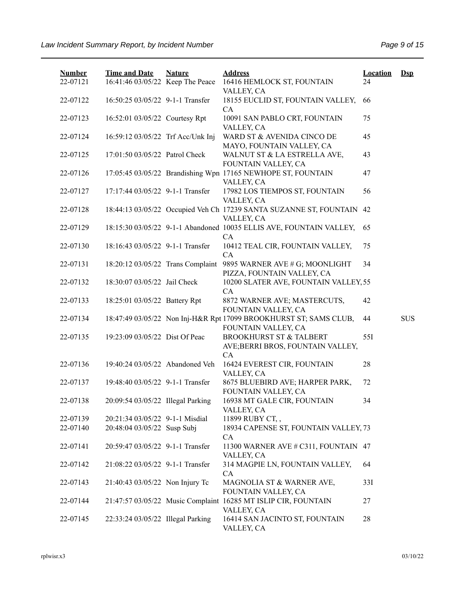| <b>Number</b> | <b>Time and Date</b>              | <b>Nature</b> | <b>Address</b>                                                                           | <b>Location</b> | $Dsp$      |
|---------------|-----------------------------------|---------------|------------------------------------------------------------------------------------------|-----------------|------------|
| 22-07121      | 16:41:46 03/05/22 Keep The Peace  |               | 16416 HEMLOCK ST, FOUNTAIN<br>VALLEY, CA                                                 | 24              |            |
| 22-07122      | 16:50:25 03/05/22 9-1-1 Transfer  |               | 18155 EUCLID ST, FOUNTAIN VALLEY,<br>CA                                                  | 66              |            |
| 22-07123      | 16:52:01 03/05/22 Courtesy Rpt    |               | 10091 SAN PABLO CRT, FOUNTAIN<br>VALLEY, CA                                              | 75              |            |
| 22-07124      | 16:59:12 03/05/22 Trf Acc/Unk Inj |               | WARD ST & AVENIDA CINCO DE<br>MAYO, FOUNTAIN VALLEY, CA                                  | 45              |            |
| 22-07125      | 17:01:50 03/05/22 Patrol Check    |               | WALNUT ST & LA ESTRELLA AVE,<br>FOUNTAIN VALLEY, CA                                      | 43              |            |
| 22-07126      |                                   |               | 17:05:45 03/05/22 Brandishing Wpn 17165 NEWHOPE ST, FOUNTAIN<br>VALLEY, CA               | 47              |            |
| 22-07127      | 17:17:44 03/05/22 9-1-1 Transfer  |               | 17982 LOS TIEMPOS ST, FOUNTAIN<br>VALLEY, CA                                             | 56              |            |
| 22-07128      |                                   |               | 18:44:13 03/05/22 Occupied Veh Ch 17239 SANTA SUZANNE ST, FOUNTAIN<br>VALLEY, CA         | 42              |            |
| 22-07129      |                                   |               | 18:15:30 03/05/22 9-1-1 Abandoned 10035 ELLIS AVE, FOUNTAIN VALLEY,<br>CA                | 65              |            |
| 22-07130      | 18:16:43 03/05/22 9-1-1 Transfer  |               | 10412 TEAL CIR, FOUNTAIN VALLEY,<br>CA                                                   | 75              |            |
| 22-07131      | 18:20:12 03/05/22 Trans Complaint |               | 9895 WARNER AVE # G; MOONLIGHT<br>PIZZA, FOUNTAIN VALLEY, CA                             | 34              |            |
| 22-07132      | 18:30:07 03/05/22 Jail Check      |               | 10200 SLATER AVE, FOUNTAIN VALLEY, 55<br>CA                                              |                 |            |
| 22-07133      | 18:25:01 03/05/22 Battery Rpt     |               | 8872 WARNER AVE; MASTERCUTS,<br>FOUNTAIN VALLEY, CA                                      | 42              |            |
| 22-07134      |                                   |               | 18:47:49 03/05/22 Non Inj-H&R Rpt 17099 BROOKHURST ST; SAMS CLUB,<br>FOUNTAIN VALLEY, CA | 44              | <b>SUS</b> |
| 22-07135      | 19:23:09 03/05/22 Dist Of Peac    |               | <b>BROOKHURST ST &amp; TALBERT</b><br>AVE;BERRI BROS, FOUNTAIN VALLEY,<br>CA             | 551             |            |
| 22-07136      | 19:40:24 03/05/22 Abandoned Veh   |               | 16424 EVEREST CIR, FOUNTAIN<br>VALLEY, CA                                                | 28              |            |
| 22-07137      | 19:48:40 03/05/22 9-1-1 Transfer  |               | 8675 BLUEBIRD AVE; HARPER PARK,<br>FOUNTAIN VALLEY, CA                                   | 72              |            |
| 22-07138      | 20:09:54 03/05/22 Illegal Parking |               | 16938 MT GALE CIR, FOUNTAIN<br>VALLEY, CA                                                | 34              |            |
| 22-07139      | 20:21:34 03/05/22 9-1-1 Misdial   |               | 11899 RUBY CT,,                                                                          |                 |            |
| 22-07140      | 20:48:04 03/05/22 Susp Subj       |               | 18934 CAPENSE ST, FOUNTAIN VALLEY, 73<br>CA                                              |                 |            |
| 22-07141      | 20:59:47 03/05/22 9-1-1 Transfer  |               | 11300 WARNER AVE # C311, FOUNTAIN 47<br>VALLEY, CA                                       |                 |            |
| 22-07142      | 21:08:22 03/05/22 9-1-1 Transfer  |               | 314 MAGPIE LN, FOUNTAIN VALLEY,<br>CA                                                    | 64              |            |
| 22-07143      | 21:40:43 03/05/22 Non Injury Tc   |               | MAGNOLIA ST & WARNER AVE,<br>FOUNTAIN VALLEY, CA                                         | 33I             |            |
| 22-07144      |                                   |               | 21:47:57 03/05/22 Music Complaint 16285 MT ISLIP CIR, FOUNTAIN<br>VALLEY, CA             | 27              |            |
| 22-07145      | 22:33:24 03/05/22 Illegal Parking |               | 16414 SAN JACINTO ST, FOUNTAIN<br>VALLEY, CA                                             | 28              |            |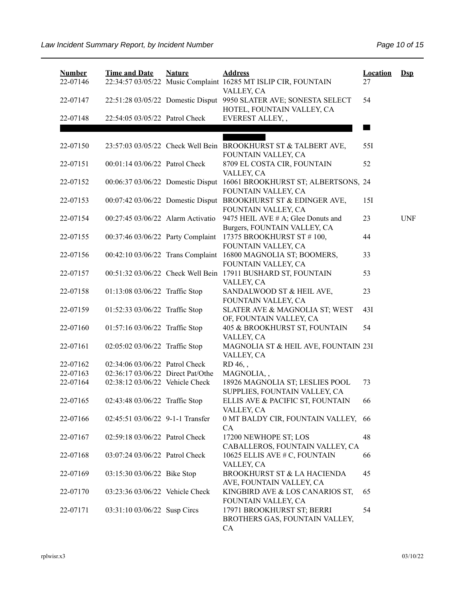| <b>Number</b><br>22-07146 | <b>Time and Date</b>              | <b>Nature</b> | <b>Address</b><br>22:34:57 03/05/22 Music Complaint 16285 MT ISLIP CIR, FOUNTAIN                              | <b>Location</b><br>27 | $\mathbf{Dsp}$ |
|---------------------------|-----------------------------------|---------------|---------------------------------------------------------------------------------------------------------------|-----------------------|----------------|
| 22-07147                  |                                   |               | VALLEY, CA<br>22:51:28 03/05/22 Domestic Disput 9950 SLATER AVE; SONESTA SELECT<br>HOTEL, FOUNTAIN VALLEY, CA | 54                    |                |
| 22-07148                  | 22:54:05 03/05/22 Patrol Check    |               | EVEREST ALLEY,,                                                                                               |                       |                |
| 22-07150                  |                                   |               | 23:57:03 03/05/22 Check Well Bein BROOKHURST ST & TALBERT AVE,                                                | 55I                   |                |
| 22-07151                  | 00:01:14 03/06/22 Patrol Check    |               | FOUNTAIN VALLEY, CA<br>8709 EL COSTA CIR, FOUNTAIN<br>VALLEY, CA                                              | 52                    |                |
| 22-07152                  | 00:06:37 03/06/22 Domestic Disput |               | 16061 BROOKHURST ST; ALBERTSONS, 24<br>FOUNTAIN VALLEY, CA                                                    |                       |                |
| 22-07153                  |                                   |               | 00:07:42 03/06/22 Domestic Disput BROOKHURST ST & EDINGER AVE,<br>FOUNTAIN VALLEY, CA                         | 15I                   |                |
| 22-07154                  | 00:27:45 03/06/22 Alarm Activatio |               | 9475 HEIL AVE # A; Glee Donuts and<br>Burgers, FOUNTAIN VALLEY, CA                                            | 23                    | <b>UNF</b>     |
| 22-07155                  | 00:37:46 03/06/22 Party Complaint |               | 17375 BROOKHURST ST #100,<br>FOUNTAIN VALLEY, CA                                                              | 44                    |                |
| 22-07156                  | 00:42:10 03/06/22 Trans Complaint |               | 16800 MAGNOLIA ST; BOOMERS,<br>FOUNTAIN VALLEY, CA                                                            | 33                    |                |
| 22-07157                  |                                   |               | 00:51:32 03/06/22 Check Well Bein 17911 BUSHARD ST, FOUNTAIN<br>VALLEY, CA                                    | 53                    |                |
| 22-07158                  | 01:13:08 03/06/22 Traffic Stop    |               | SANDALWOOD ST & HEIL AVE,<br>FOUNTAIN VALLEY, CA                                                              | 23                    |                |
| 22-07159                  | 01:52:33 03/06/22 Traffic Stop    |               | SLATER AVE & MAGNOLIA ST; WEST<br>OF, FOUNTAIN VALLEY, CA                                                     | 43I                   |                |
| 22-07160                  | 01:57:16 03/06/22 Traffic Stop    |               | 405 & BROOKHURST ST, FOUNTAIN<br>VALLEY, CA                                                                   | 54                    |                |
| 22-07161                  | 02:05:02 03/06/22 Traffic Stop    |               | MAGNOLIA ST & HEIL AVE, FOUNTAIN 23I<br>VALLEY, CA                                                            |                       |                |
| 22-07162                  | 02:34:06 03/06/22 Patrol Check    |               | RD 46,,                                                                                                       |                       |                |
| 22-07163                  | 02:36:17 03/06/22 Direct Pat/Othe |               | MAGNOLIA,,                                                                                                    |                       |                |
| 22-07164                  | 02:38:12 03/06/22 Vehicle Check   |               | 18926 MAGNOLIA ST; LESLIES POOL<br>SUPPLIES, FOUNTAIN VALLEY, CA                                              | 73                    |                |
| 22-07165                  | 02:43:48 03/06/22 Traffic Stop    |               | ELLIS AVE & PACIFIC ST, FOUNTAIN<br>VALLEY, CA                                                                | 66                    |                |
| 22-07166                  | 02:45:51 03/06/22 9-1-1 Transfer  |               | 0 MT BALDY CIR, FOUNTAIN VALLEY, 66<br><b>CA</b>                                                              |                       |                |
| 22-07167                  | 02:59:18 03/06/22 Patrol Check    |               | 17200 NEWHOPE ST; LOS<br>CABALLEROS, FOUNTAIN VALLEY, CA                                                      | 48                    |                |
| 22-07168                  | 03:07:24 03/06/22 Patrol Check    |               | 10625 ELLIS AVE # C, FOUNTAIN<br>VALLEY, CA                                                                   | 66                    |                |
| 22-07169                  | 03:15:30 03/06/22 Bike Stop       |               | BROOKHURST ST & LA HACIENDA<br>AVE, FOUNTAIN VALLEY, CA                                                       | 45                    |                |
| 22-07170                  | 03:23:36 03/06/22 Vehicle Check   |               | KINGBIRD AVE & LOS CANARIOS ST,<br>FOUNTAIN VALLEY, CA                                                        | 65                    |                |
| 22-07171                  | 03:31:10 03/06/22 Susp Circs      |               | 17971 BROOKHURST ST; BERRI<br>BROTHERS GAS, FOUNTAIN VALLEY,<br>CA                                            | 54                    |                |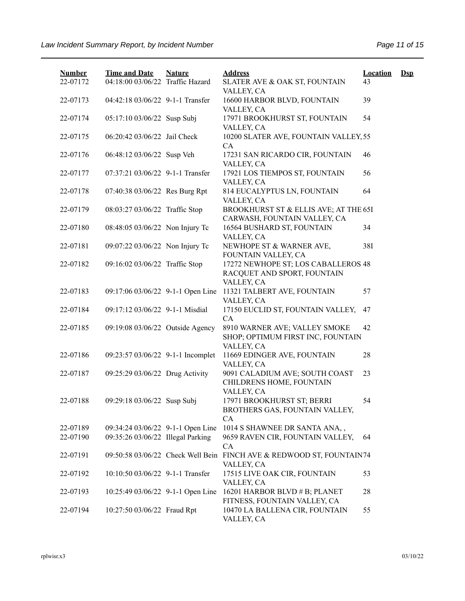| <b>Number</b> | <b>Time and Date</b>              | <b>Nature</b> | <b>Address</b>                                                                          | <b>Location</b> | $\mathbf{Dsp}$ |
|---------------|-----------------------------------|---------------|-----------------------------------------------------------------------------------------|-----------------|----------------|
| 22-07172      | 04:18:00 03/06/22 Traffic Hazard  |               | SLATER AVE & OAK ST, FOUNTAIN<br>VALLEY, CA                                             | 43              |                |
| 22-07173      | 04:42:18 03/06/22 9-1-1 Transfer  |               | 16600 HARBOR BLVD, FOUNTAIN<br>VALLEY, CA                                               | 39              |                |
| 22-07174      | 05:17:10 03/06/22 Susp Subj       |               | 17971 BROOKHURST ST, FOUNTAIN<br>VALLEY, CA                                             | 54              |                |
| 22-07175      | 06:20:42 03/06/22 Jail Check      |               | 10200 SLATER AVE, FOUNTAIN VALLEY, 55<br>CA                                             |                 |                |
| 22-07176      | 06:48:12 03/06/22 Susp Veh        |               | 17231 SAN RICARDO CIR, FOUNTAIN<br>VALLEY, CA                                           | 46              |                |
| 22-07177      | 07:37:21 03/06/22 9-1-1 Transfer  |               | 17921 LOS TIEMPOS ST, FOUNTAIN                                                          | 56              |                |
| 22-07178      | 07:40:38 03/06/22 Res Burg Rpt    |               | VALLEY, CA<br>814 EUCALYPTUS LN, FOUNTAIN                                               | 64              |                |
| 22-07179      | 08:03:27 03/06/22 Traffic Stop    |               | VALLEY, CA<br>BROOKHURST ST & ELLIS AVE; AT THE 65I<br>CARWASH, FOUNTAIN VALLEY, CA     |                 |                |
| 22-07180      | 08:48:05 03/06/22 Non Injury Tc   |               | 16564 BUSHARD ST, FOUNTAIN                                                              | 34              |                |
| 22-07181      | 09:07:22 03/06/22 Non Injury Tc   |               | VALLEY, CA<br>NEWHOPE ST & WARNER AVE,<br>FOUNTAIN VALLEY, CA                           | 38I             |                |
| 22-07182      | 09:16:02 03/06/22 Traffic Stop    |               | 17272 NEWHOPE ST; LOS CABALLEROS 48<br>RACQUET AND SPORT, FOUNTAIN                      |                 |                |
| 22-07183      | 09:17:06 03/06/22 9-1-1 Open Line |               | VALLEY, CA<br>11321 TALBERT AVE, FOUNTAIN<br>VALLEY, CA                                 | 57              |                |
| 22-07184      | 09:17:12 03/06/22 9-1-1 Misdial   |               | 17150 EUCLID ST, FOUNTAIN VALLEY,<br>CA                                                 | 47              |                |
| 22-07185      | 09:19:08 03/06/22 Outside Agency  |               | 8910 WARNER AVE; VALLEY SMOKE<br>SHOP; OPTIMUM FIRST INC, FOUNTAIN<br>VALLEY, CA        | 42              |                |
| 22-07186      | 09:23:57 03/06/22 9-1-1 Incomplet |               | 11669 EDINGER AVE, FOUNTAIN<br>VALLEY, CA                                               | 28              |                |
| 22-07187      | 09:25:29 03/06/22 Drug Activity   |               | 9091 CALADIUM AVE; SOUTH COAST<br>CHILDRENS HOME, FOUNTAIN                              | 23              |                |
| 22-07188      | 09:29:18 03/06/22 Susp Subj       |               | VALLEY, CA<br>17971 BROOKHURST ST; BERRI<br>BROTHERS GAS, FOUNTAIN VALLEY,<br><b>CA</b> | 54              |                |
| 22-07189      | 09:34:24 03/06/22 9-1-1 Open Line |               | 1014 S SHAWNEE DR SANTA ANA,,                                                           |                 |                |
| 22-07190      | 09:35:26 03/06/22 Illegal Parking |               | 9659 RAVEN CIR, FOUNTAIN VALLEY,<br>CA                                                  | 64              |                |
| 22-07191      |                                   |               | 09:50:58 03/06/22 Check Well Bein FINCH AVE & REDWOOD ST, FOUNTAIN74<br>VALLEY, CA      |                 |                |
| 22-07192      | 10:10:50 03/06/22 9-1-1 Transfer  |               | 17515 LIVE OAK CIR, FOUNTAIN<br>VALLEY, CA                                              | 53              |                |
| 22-07193      | 10:25:49 03/06/22 9-1-1 Open Line |               | 16201 HARBOR BLVD # B; PLANET<br>FITNESS, FOUNTAIN VALLEY, CA                           | 28              |                |
| 22-07194      | 10:27:50 03/06/22 Fraud Rpt       |               | 10470 LA BALLENA CIR, FOUNTAIN<br>VALLEY, CA                                            | 55              |                |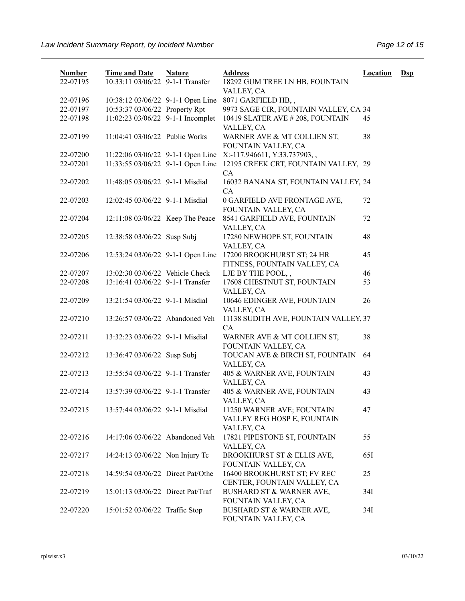| <b>Number</b> | <b>Time and Date</b>              | <b>Nature</b> | <b>Address</b>                                                | <b>Location</b> | $Ds$ |
|---------------|-----------------------------------|---------------|---------------------------------------------------------------|-----------------|------|
| 22-07195      | 10:33:11 03/06/22 9-1-1 Transfer  |               | 18292 GUM TREE LN HB, FOUNTAIN                                |                 |      |
|               |                                   |               | VALLEY, CA                                                    |                 |      |
| 22-07196      | 10:38:12 03/06/22 9-1-1 Open Line |               | 8071 GARFIELD HB,,                                            |                 |      |
| 22-07197      | 10:53:37 03/06/22 Property Rpt    |               | 9973 SAGE CIR, FOUNTAIN VALLEY, CA 34                         |                 |      |
| 22-07198      | 11:02:23 03/06/22 9-1-1 Incomplet |               | 10419 SLATER AVE #208, FOUNTAIN                               | 45              |      |
|               |                                   |               | VALLEY, CA                                                    |                 |      |
| 22-07199      | 11:04:41 03/06/22 Public Works    |               | WARNER AVE & MT COLLIEN ST,                                   | 38              |      |
|               |                                   |               | FOUNTAIN VALLEY, CA                                           |                 |      |
| 22-07200      |                                   |               | 11:22:06 03/06/22 9-1-1 Open Line X:-117.946611, Y:33.737903, |                 |      |
| 22-07201      | 11:33:55 03/06/22 9-1-1 Open Line |               | 12195 CREEK CRT, FOUNTAIN VALLEY, 29                          |                 |      |
|               |                                   |               | CA                                                            |                 |      |
| 22-07202      | 11:48:05 03/06/22 9-1-1 Misdial   |               | 16032 BANANA ST, FOUNTAIN VALLEY, 24                          |                 |      |
|               |                                   |               | CA                                                            |                 |      |
| 22-07203      | 12:02:45 03/06/22 9-1-1 Misdial   |               | 0 GARFIELD AVE FRONTAGE AVE,                                  | 72              |      |
|               |                                   |               | FOUNTAIN VALLEY, CA                                           |                 |      |
| 22-07204      | 12:11:08 03/06/22 Keep The Peace  |               | 8541 GARFIELD AVE, FOUNTAIN                                   | 72              |      |
|               |                                   |               | VALLEY, CA                                                    |                 |      |
| 22-07205      | 12:38:58 03/06/22 Susp Subj       |               | 17280 NEWHOPE ST, FOUNTAIN                                    | 48              |      |
|               |                                   |               | VALLEY, CA                                                    |                 |      |
| 22-07206      | 12:53:24 03/06/22 9-1-1 Open Line |               | 17200 BROOKHURST ST; 24 HR                                    | 45              |      |
|               |                                   |               | FITNESS, FOUNTAIN VALLEY, CA                                  |                 |      |
| 22-07207      | 13:02:30 03/06/22 Vehicle Check   |               | LJE BY THE POOL,,                                             | 46              |      |
| 22-07208      | 13:16:41 03/06/22 9-1-1 Transfer  |               | 17608 CHESTNUT ST, FOUNTAIN                                   | 53              |      |
| 22-07209      | 13:21:54 03/06/22 9-1-1 Misdial   |               | VALLEY, CA<br>10646 EDINGER AVE, FOUNTAIN                     | 26              |      |
|               |                                   |               | VALLEY, CA                                                    |                 |      |
| 22-07210      | 13:26:57 03/06/22 Abandoned Veh   |               | 11138 SUDITH AVE, FOUNTAIN VALLEY, 37                         |                 |      |
|               |                                   |               | CA                                                            |                 |      |
| 22-07211      | 13:32:23 03/06/22 9-1-1 Misdial   |               | WARNER AVE & MT COLLIEN ST,                                   | 38              |      |
|               |                                   |               | FOUNTAIN VALLEY, CA                                           |                 |      |
| 22-07212      | 13:36:47 03/06/22 Susp Subj       |               | TOUCAN AVE & BIRCH ST, FOUNTAIN                               | 64              |      |
|               |                                   |               | VALLEY, CA                                                    |                 |      |
| 22-07213      | 13:55:54 03/06/22 9-1-1 Transfer  |               | 405 & WARNER AVE, FOUNTAIN                                    | 43              |      |
|               |                                   |               | VALLEY, CA                                                    |                 |      |
| 22-07214      | 13:57:39 03/06/22 9-1-1 Transfer  |               | 405 & WARNER AVE, FOUNTAIN                                    | 43              |      |
|               |                                   |               | VALLEY, CA                                                    |                 |      |
| 22-07215      | 13:57:44 03/06/22 9-1-1 Misdial   |               | 11250 WARNER AVE; FOUNTAIN                                    | 47              |      |
|               |                                   |               | VALLEY REG HOSP E, FOUNTAIN                                   |                 |      |
|               |                                   |               | VALLEY, CA                                                    |                 |      |
| 22-07216      | 14:17:06 03/06/22 Abandoned Veh   |               | 17821 PIPESTONE ST, FOUNTAIN                                  | 55              |      |
|               |                                   |               | VALLEY, CA                                                    |                 |      |
| 22-07217      | 14:24:13 03/06/22 Non Injury Tc   |               | BROOKHURST ST & ELLIS AVE,                                    | 651             |      |
|               |                                   |               | FOUNTAIN VALLEY, CA                                           |                 |      |
| 22-07218      | 14:59:54 03/06/22 Direct Pat/Othe |               | 16400 BROOKHURST ST; FV REC                                   | 25              |      |
|               |                                   |               | CENTER, FOUNTAIN VALLEY, CA                                   |                 |      |
| 22-07219      | 15:01:13 03/06/22 Direct Pat/Traf |               | BUSHARD ST & WARNER AVE,                                      | 34I             |      |
|               |                                   |               | FOUNTAIN VALLEY, CA                                           |                 |      |
| 22-07220      | 15:01:52 03/06/22 Traffic Stop    |               | BUSHARD ST & WARNER AVE,                                      | 34I             |      |
|               |                                   |               | FOUNTAIN VALLEY, CA                                           |                 |      |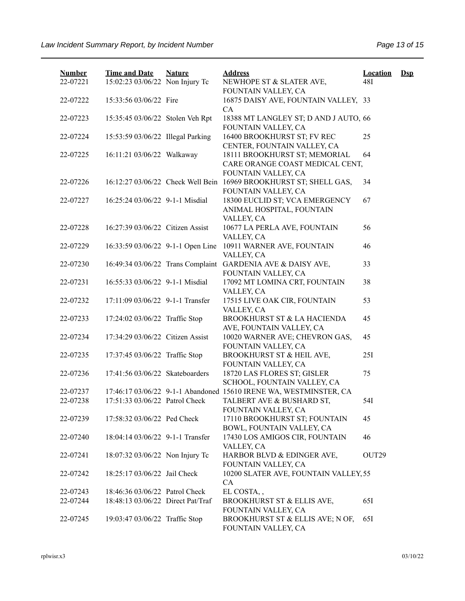| <b>Number</b><br>22-07221 | <b>Time and Date</b><br>15:02:23 03/06/22 Non Injury Tc | <b>Nature</b> | <b>Address</b><br>NEWHOPE ST & SLATER AVE,                                              | <b>Location</b><br>48I | $\mathbf{Dsp}$ |
|---------------------------|---------------------------------------------------------|---------------|-----------------------------------------------------------------------------------------|------------------------|----------------|
|                           |                                                         |               | FOUNTAIN VALLEY, CA                                                                     |                        |                |
| 22-07222                  | 15:33:56 03/06/22 Fire                                  |               | 16875 DAISY AVE, FOUNTAIN VALLEY, 33<br>CA                                              |                        |                |
| 22-07223                  | 15:35:45 03/06/22 Stolen Veh Rpt                        |               | 18388 MT LANGLEY ST; D AND J AUTO, 66<br>FOUNTAIN VALLEY, CA                            |                        |                |
| 22-07224                  | 15:53:59 03/06/22 Illegal Parking                       |               | 16400 BROOKHURST ST; FV REC<br>CENTER, FOUNTAIN VALLEY, CA                              | 25                     |                |
| 22-07225                  | 16:11:21 03/06/22 Walkaway                              |               | 18111 BROOKHURST ST; MEMORIAL<br>CARE ORANGE COAST MEDICAL CENT,<br>FOUNTAIN VALLEY, CA | 64                     |                |
| 22-07226                  | 16:12:27 03/06/22 Check Well Bein                       |               | 16969 BROOKHURST ST; SHELL GAS,<br>FOUNTAIN VALLEY, CA                                  | 34                     |                |
| 22-07227                  | 16:25:24 03/06/22 9-1-1 Misdial                         |               | 18300 EUCLID ST; VCA EMERGENCY<br>ANIMAL HOSPITAL, FOUNTAIN<br>VALLEY, CA               | 67                     |                |
| 22-07228                  | 16:27:39 03/06/22 Citizen Assist                        |               | 10677 LA PERLA AVE, FOUNTAIN<br>VALLEY, CA                                              | 56                     |                |
| 22-07229                  | 16:33:59 03/06/22 9-1-1 Open Line                       |               | 10911 WARNER AVE, FOUNTAIN<br>VALLEY, CA                                                | 46                     |                |
| 22-07230                  | 16:49:34 03/06/22 Trans Complaint                       |               | GARDENIA AVE & DAISY AVE,<br>FOUNTAIN VALLEY, CA                                        | 33                     |                |
| 22-07231                  | 16:55:33 03/06/22 9-1-1 Misdial                         |               | 17092 MT LOMINA CRT, FOUNTAIN<br>VALLEY, CA                                             | 38                     |                |
| 22-07232                  | 17:11:09 03/06/22 9-1-1 Transfer                        |               | 17515 LIVE OAK CIR, FOUNTAIN<br>VALLEY, CA                                              | 53                     |                |
| 22-07233                  | 17:24:02 03/06/22 Traffic Stop                          |               | BROOKHURST ST & LA HACIENDA<br>AVE, FOUNTAIN VALLEY, CA                                 | 45                     |                |
| 22-07234                  | 17:34:29 03/06/22 Citizen Assist                        |               | 10020 WARNER AVE; CHEVRON GAS,<br>FOUNTAIN VALLEY, CA                                   | 45                     |                |
| 22-07235                  | 17:37:45 03/06/22 Traffic Stop                          |               | BROOKHURST ST & HEIL AVE,<br>FOUNTAIN VALLEY, CA                                        | 25I                    |                |
| 22-07236                  | 17:41:56 03/06/22 Skateboarders                         |               | 18720 LAS FLORES ST; GISLER<br>SCHOOL, FOUNTAIN VALLEY, CA                              | 75                     |                |
| 22-07237                  |                                                         |               | 17:46:17 03/06/22 9-1-1 Abandoned 15610 IRENE WA, WESTMINSTER, CA                       |                        |                |
| 22-07238                  | 17:51:33 03/06/22 Patrol Check                          |               | TALBERT AVE & BUSHARD ST,<br>FOUNTAIN VALLEY, CA                                        | 54I                    |                |
| 22-07239                  | 17:58:32 03/06/22 Ped Check                             |               | 17110 BROOKHURST ST; FOUNTAIN<br>BOWL, FOUNTAIN VALLEY, CA                              | 45                     |                |
| 22-07240                  | 18:04:14 03/06/22 9-1-1 Transfer                        |               | 17430 LOS AMIGOS CIR, FOUNTAIN<br>VALLEY, CA                                            | 46                     |                |
| 22-07241                  | 18:07:32 03/06/22 Non Injury Tc                         |               | HARBOR BLVD & EDINGER AVE,<br>FOUNTAIN VALLEY, CA                                       | OUT <sub>29</sub>      |                |
| 22-07242                  | 18:25:17 03/06/22 Jail Check                            |               | 10200 SLATER AVE, FOUNTAIN VALLEY, 55<br>CA                                             |                        |                |
| 22-07243                  | 18:46:36 03/06/22 Patrol Check                          |               | EL COSTA,,                                                                              |                        |                |
| 22-07244                  | 18:48:13 03/06/22 Direct Pat/Traf                       |               | BROOKHURST ST & ELLIS AVE,<br>FOUNTAIN VALLEY, CA                                       | 65I                    |                |
| 22-07245                  | 19:03:47 03/06/22 Traffic Stop                          |               | BROOKHURST ST & ELLIS AVE; N OF,<br>FOUNTAIN VALLEY, CA                                 | 65I                    |                |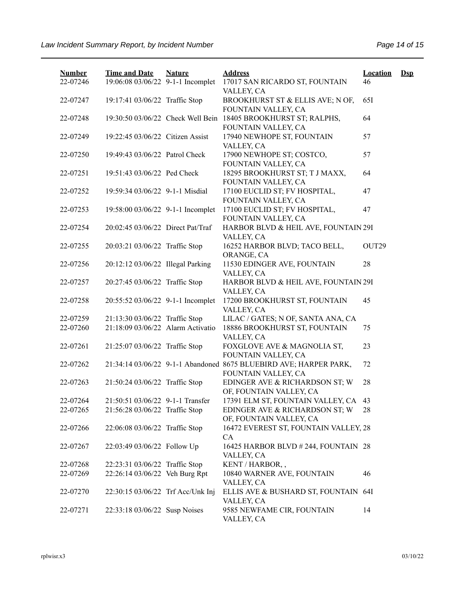| <b>Number</b><br>22-07246 | <b>Time and Date</b><br>19:06:08 03/06/22 9-1-1 Incomplet | <b>Nature</b> | <b>Address</b><br>17017 SAN RICARDO ST, FOUNTAIN                                         | <b>Location</b><br>46 | $\mathbf{Dsp}$ |
|---------------------------|-----------------------------------------------------------|---------------|------------------------------------------------------------------------------------------|-----------------------|----------------|
| 22-07247                  | 19:17:41 03/06/22 Traffic Stop                            |               | VALLEY, CA<br>BROOKHURST ST & ELLIS AVE; N OF,                                           | 65I                   |                |
| 22-07248                  | 19:30:50 03/06/22 Check Well Bein                         |               | FOUNTAIN VALLEY, CA<br>18405 BROOKHURST ST; RALPHS,                                      | 64                    |                |
| 22-07249                  | 19:22:45 03/06/22 Citizen Assist                          |               | FOUNTAIN VALLEY, CA<br>17940 NEWHOPE ST, FOUNTAIN                                        | 57                    |                |
| 22-07250                  | 19:49:43 03/06/22 Patrol Check                            |               | VALLEY, CA<br>17900 NEWHOPE ST; COSTCO,                                                  | 57                    |                |
| 22-07251                  | 19:51:43 03/06/22 Ped Check                               |               | FOUNTAIN VALLEY, CA<br>18295 BROOKHURST ST; T J MAXX,<br>FOUNTAIN VALLEY, CA             | 64                    |                |
| 22-07252                  | 19:59:34 03/06/22 9-1-1 Misdial                           |               | 17100 EUCLID ST; FV HOSPITAL,<br>FOUNTAIN VALLEY, CA                                     | 47                    |                |
| 22-07253                  | 19:58:00 03/06/22 9-1-1 Incomplet                         |               | 17100 EUCLID ST; FV HOSPITAL,<br>FOUNTAIN VALLEY, CA                                     | 47                    |                |
| 22-07254                  | 20:02:45 03/06/22 Direct Pat/Traf                         |               | HARBOR BLVD & HEIL AVE, FOUNTAIN 29I<br>VALLEY, CA                                       |                       |                |
| 22-07255                  | 20:03:21 03/06/22 Traffic Stop                            |               | 16252 HARBOR BLVD; TACO BELL,<br>ORANGE, CA                                              | OUT29                 |                |
| 22-07256                  | 20:12:12 03/06/22 Illegal Parking                         |               | 11530 EDINGER AVE, FOUNTAIN<br>VALLEY, CA                                                | 28                    |                |
| 22-07257                  | 20:27:45 03/06/22 Traffic Stop                            |               | HARBOR BLVD & HEIL AVE, FOUNTAIN 29I<br>VALLEY, CA                                       |                       |                |
| 22-07258                  | 20:55:52 03/06/22 9-1-1 Incomplet                         |               | 17200 BROOKHURST ST, FOUNTAIN<br>VALLEY, CA                                              | 45                    |                |
| 22-07259                  | 21:13:30 03/06/22 Traffic Stop                            |               | LILAC / GATES; N OF, SANTA ANA, CA                                                       |                       |                |
| 22-07260                  | 21:18:09 03/06/22 Alarm Activatio                         |               | 18886 BROOKHURST ST, FOUNTAIN<br>VALLEY, CA                                              | 75                    |                |
| 22-07261                  | 21:25:07 03/06/22 Traffic Stop                            |               | FOXGLOVE AVE & MAGNOLIA ST,<br>FOUNTAIN VALLEY, CA                                       | 23                    |                |
| 22-07262                  |                                                           |               | 21:34:14 03/06/22 9-1-1 Abandoned 8675 BLUEBIRD AVE; HARPER PARK,<br>FOUNTAIN VALLEY, CA | 72                    |                |
| 22-07263                  | 21:50:24 03/06/22 Traffic Stop                            |               | EDINGER AVE & RICHARDSON ST; W<br>OF, FOUNTAIN VALLEY, CA                                | 28                    |                |
| 22-07264                  | 21:50:51 03/06/22 9-1-1 Transfer                          |               | 17391 ELM ST, FOUNTAIN VALLEY, CA                                                        | 43                    |                |
| 22-07265                  | 21:56:28 03/06/22 Traffic Stop                            |               | EDINGER AVE & RICHARDSON ST; W<br>OF, FOUNTAIN VALLEY, CA                                | 28                    |                |
| 22-07266                  | 22:06:08 03/06/22 Traffic Stop                            |               | 16472 EVEREST ST, FOUNTAIN VALLEY, 28<br>CA                                              |                       |                |
| 22-07267                  | 22:03:49 03/06/22 Follow Up                               |               | 16425 HARBOR BLVD # 244, FOUNTAIN 28<br>VALLEY, CA                                       |                       |                |
| 22-07268                  | 22:23:31 03/06/22 Traffic Stop                            |               | KENT / HARBOR,,                                                                          |                       |                |
| 22-07269                  | 22:26:14 03/06/22 Veh Burg Rpt                            |               | 10840 WARNER AVE, FOUNTAIN<br>VALLEY, CA                                                 | 46                    |                |
| 22-07270                  | 22:30:15 03/06/22 Trf Acc/Unk Inj                         |               | ELLIS AVE & BUSHARD ST, FOUNTAIN 64I<br>VALLEY, CA                                       |                       |                |
| 22-07271                  | 22:33:18 03/06/22 Susp Noises                             |               | 9585 NEWFAME CIR, FOUNTAIN<br>VALLEY, CA                                                 | 14                    |                |